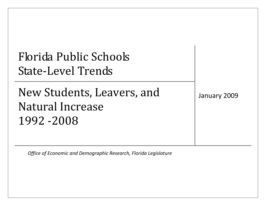| Florida Public Schools    |  |
|---------------------------|--|
| <b>State-Level Trends</b> |  |

New Students, Leavers, and January 2009 Natural Increase 1992 ‐2008

*Office of Economic and Demographic Research, Florida Legislature*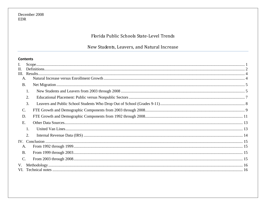# Florida Public Schools State-Level Trends

# New Students, Leavers, and Natural Increase

# **Contents**

| I.              |    |  |
|-----------------|----|--|
| II.             |    |  |
|                 |    |  |
| A.              |    |  |
| <b>B.</b>       |    |  |
|                 | 1. |  |
|                 | 2. |  |
|                 | 3. |  |
| $\mathbf{C}$ .  |    |  |
| D.              |    |  |
| Ε.              |    |  |
|                 |    |  |
|                 | 2. |  |
|                 |    |  |
| A.              |    |  |
| <b>B.</b>       |    |  |
| $\mathcal{C}$ . |    |  |
| V.              |    |  |
|                 |    |  |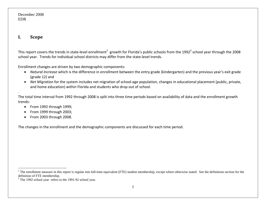#### **I.Scope**

This report covers the trends in state-level enrollment $^1\,$  growth for Florida's public schools from the 1992 $^2$  school year through the 2008 school year. Trends for individual school districts may differ from the state‐level trends.

Enrollment changes are driven by two demographic components:

- *Natural Increase* which is the difference in enrollment between the entry grade (kindergarten) and the previous year's exit grade (grade 12) and
- *Net Migration* for the system includes net migration of school‐age population, changes in educational placement (public, private, and home education) within Florida and students who drop out of school.

The total time interval from 1992 through 2008 is split into three time periods based on availability of data and the enrollment growth trends:

- From 1992 through 1999;
- From 1999 through 2003;
- From 2003 through 2008.

The changes in the enrollment and the demographic components are discussed for each time period.

<sup>&</sup>lt;sup>1</sup> The enrollment measure in this report is regular tem full-time equivalent (FTE) student membership, except where otherwise stated. See the definitions section for the definition of FTE membership.

 $2$  The 1992 school year refers to the 1991-92 school year.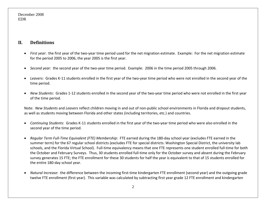#### **II.Definitions**

- *First year*: the first year of the two‐year time period used for the net migration estimate. Example: For the net migration estimate for the period 2005 to 2006, the year 2005 is the first year.
- *Second year*: the second year of the two‐year time period. Example: 2006 in the time period 2005 through 2006.
- *Leavers*: Grades K-11 students enrolled in the first year of the two-year time period who were not enrolled in the second year of the time period.
- *New Students*: Grades 1-12 students enrolled in the second year of the two-year time period who were not enrolled in the first year of the time period.

Note: *New Students* and *Leavers* reflect children moving in and out of non‐public school environments in Florida and dropout students, as well as students moving between Florida and other states (including territories, etc.) and countries.

- *Continuing Students*: Grades K‐11 students enrolled in the first year of the two‐year time period who were also enrolled in the second year of the time period.
- *Regular Term Full‐Time Equivalent (FTE) Membership*: FTE earned during the 180‐day school year (excludes FTE earned in the summer term) for the 67 regular school districts (excludes FTE for special districts: Washington Special District, the university lab schools, and the Florida Virtual School). Full-time equivalency means that one FTE represents one student enrolled full-time for both the October and February Surveys. Thus, 30 students enrolled full‐time only for the October survey and absent during the February survey generates 15 FTE; the FTE enrollment for these 30 students for half the year is equivalent to that of 15 students enrolled for the entire 180‐day school year.
- *Natural Increase*: the difference between the incoming first‐time kindergarten FTE enrollment (second year) and the outgoing grade twelve FTE enrollment (first year). This variable was calculated by subtracting first year grade 12 FTE enrollment and kindergarten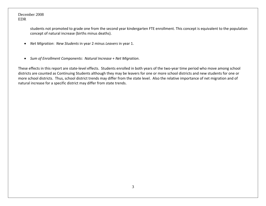students not promoted to grade one from the second year kindergarten FTE enrollment. This concept is equivalent to the population concept of natural increase (births minus deaths).

- *Net Migration*: *New Students* in year 2 minus *Leavers* in year 1.
- *Sum of Enrollment Components*: *Natural Increase* <sup>+</sup> *Net Migration*.

These effects in this report are state‐level effects. Students enrolled in both years of the two‐year time period who move among school districts are counted as Continuing Students although they may be leavers for one or more school districts and new students for one or more school districts. Thus, school district trends may differ from the state level. Also the relative importance of net migration and of natural increase for <sup>a</sup> specific district may differ from state trends.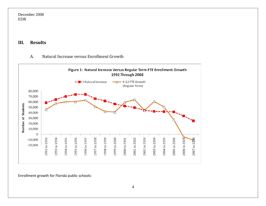#### **III.Results**

#### A.Natural Increase versus Enrollment Growth



Enrollment growth for Florida public schools: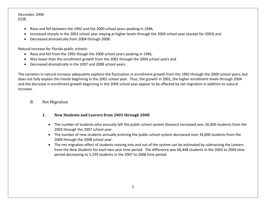- Rose and fell between the 1992 and the 2000 school years peaking in 1996,
- •Increased sharply in the 2001 school year staying at higher levels through the 2004 school year (except for 2003) and
- •Decreased dramatically from 2004 through 2008.

Natural Increase for Florida public schools:

- Rose and fell from the 1992 though the 2008 school years peaking in 1996,
- Was lower than the enrollment growth from the 2001 through the 2004 school years and
- Decreased dramatically in the 2007 and 2008 school years.

The variation in natural increase adequately explains the fluctuation in enrollment growth from the 1992 through the 2000 school years, but does not fully explain the trends beginning in the 2001 school year. Thus, the growth in 2001, the higher enrollment levels through 2004 and the decrease in enrollment growth beginning in the 2004 school year appear to be affected by net migration in addition to natural increase.

- B. Net Migration
	- **1. New Students and Leavers from 2003 through 2008**
		- The number of students who annually left the public school system (leavers) increased over 26,000 students from the 2003 through the 2007 school year.
		- The number of new students annually entering the public school system decreased over 34,000 students from the 2004 through the 2008 school year.
		- The net migration effect of students moving into and out of the system can be estimated by subtracting the *Leavers* from the *New Students* for each two‐year time period. The difference was 66,448 students in the 2003 to 2004 time period decreasing to 5,339 students in the 2007 to 2008 time period.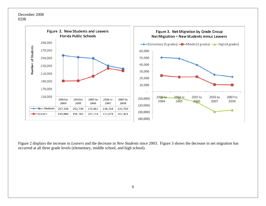

Figure 2 displays the increase in *Leavers* and the decrease in *New Students* since 2003. Figure 3 shows the decrease in net migration has occurred at all three grade levels (elementary, middle school, and high school).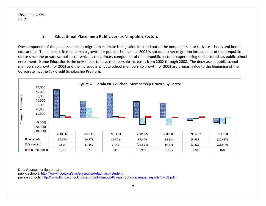#### **2.Educational Placement: Public versus Nonpublic Sectors**

One component of the public school net migration estimate is migration into and out of the nonpublic sector (private schools and home education). The decrease in membership growth for public schools since 2004 is not due to net migration into and out of the nonpublic sector since the private school sector which is the primary component of the nonpublic sector is experiencing similar trends as public school enrollment. Home Education is the only sector to have membership increases from 2002 through 2008. The decrease in public school membership growth for 2003 and the increase in private school membership growth for 2003 are primarily due to the beginning of the Corporate Income Tax Credit Scholarship Program.



Data Sources for figure 4 are:

public schools: http://www.fldoe.org/eias/eiaspubs/default.asp#student ; private schools: http://www.floridaschoolchoice.org/Information/Private\_Schools/annual\_reports/07-08.pdf ;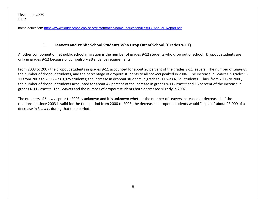home education: <u>https://www.floridaschoolchoice.org/information/home\_education/files/08\_Annual\_Report.pdf</u> .

#### **3.Leavers and Public School Students Who Drop Out of School (Grades 911)**

Another component of net public school migration is the number of grades 9‐12 students who drop out of school. Dropout students are only in grades 9‐12 because of compulsory attendance requirements.

From 2003 to 2007 the dropout students in grades 9‐11 accounted for about 26 percent of the grades 9‐11 leavers. The number of *Leavers*, the number of dropout students, and the percentage of dropout students to all *Leavers* peaked in 2006. The increase in *Leavers* in grades 9‐ 11 from 2003 to 2006 was 9,925 students; the increase in dropout students in grades 9‐11 was 4,121 students. Thus, from 2003 to 2006, the number of dropout students accounted for about 42 percent of the increase in grades 9‐11 *Leavers* and 16 percent of the increase in grades K‐11 *Leavers*. The *Leavers* and the number of dropout students both decreased slightly in 2007.

The numbers of *Leavers* prior to 2003 is unknown and it is unknown whether the number of Leavers increased or decreased. If the relationship since 2003 is valid for the time period from 2000 to 2003, the decrease in dropout students would "explain" about 23,000 of <sup>a</sup> decrease in *Leavers* during that time period.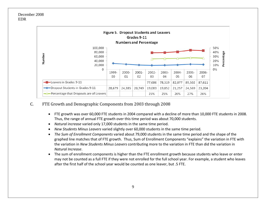

#### C.FTE Growth and Demographic Components from 2003 through 2008

- FTE growth was over 60,000 FTE students in 2004 compared with <sup>a</sup> decline of more than 10,000 FTE students in 2008. Thus, the range of annual FTE growth over this time period was about 70,000 students.
- *Natural increase* varied only 17,000 students in the same time period.
- •*New Students Minus Leavers* varied slightly over 60,000 students in the same time period.
- *The Sum of Enrollment Components* varied about 79,000 students in the same time period and the shape of the graphed line matches that of FTE growth. Thus, Sum of Enrollment Components "explains" the variation in FTE with the variation in *New Students Minus Leavers* contributing more to the variation in FTE than did the variation in *Natural Increase*.
- • The sum of enrollment components is higher than the FTE enrollment growth because students who leave or enter may not be counted as <sup>a</sup> full FTE if they were not enrolled for the full school year. For example, <sup>a</sup> student who leaves after the first half of the school year would be counted as one leaver, but .5 FTE.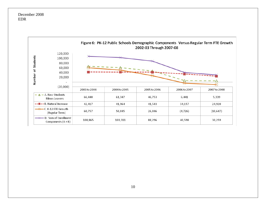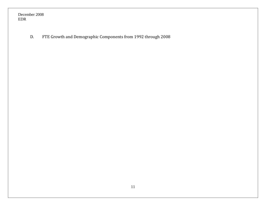> D.FTE Growth and Demographic Components from 1992 through 2008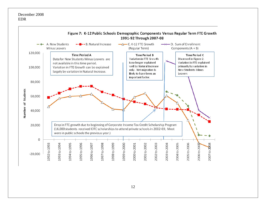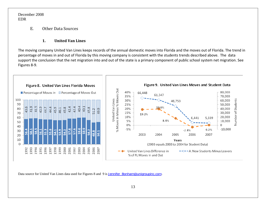> E.Other Data Sources

#### **1.United Van Lines**

The moving company United Van Lines keeps records of the annual domestic moves into Florida and the moves out of Florida. The trend in percentage of moves in and out of Florida by this moving company is consistent with the students trends described above. The data support the conclusion that the net migration into and out of the state is <sup>a</sup> primary component of public school system net migration. See Figures 8‐9.



Data source for United Van Lines data used for Figures 8 and 9 is Jennifer\_Bonham@unigroupinc.com.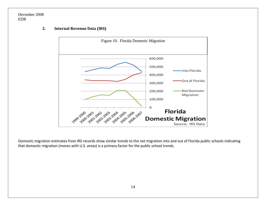# Figure 10. Florida Domestic Migration 600,000 500,000 Into Florida 400,000 Out of Florida 300,000 200,000 Net Domestic Migration 100,000  $\circ$ **Florida** 1999-2000-2002-2002-2002-2002-2005-2006-2007 **Domestic Migration** Source: IRS Data

#### **2.Internal Revenue Data (IRS)**

Domestic migration estimates from IRS records show similar trends to the net migration into and out of Florida public schools indicating that domestic migration (moves with U.S. areas) is <sup>a</sup> primary factor for the public school trends.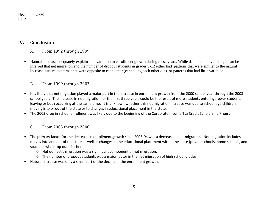#### **IV.Conclusion**

- A.From 1992 through 1999
- • Natural increase adequately explains the variation in enrollment growth during these years. While data are not available, it can be inferred that net migration and the number of dropout students in grades 9-12 either had patterns that were similar to the natural increase pattern, patterns that were opposite to each other (cancelling each other out), or patterns that had little variation.

#### B.From 1999 through 2003

- • It is likely that net migration played <sup>a</sup> major part in the increase in enrollment growth from the 2000 school year through the 2003 school year. The increase in net migration for the first three years could be the result of more students entering, fewer students leaving or both occurring at the same time. It is unknown whether this net migration increase was due to school‐age children moving into or out‐of the state or to changes in educational placement in the state.
- •The 2003 drop in school enrollment was likely due to the beginning of the Corporate Income Tax Credit Scholarship Program.

#### C.From 2003 through 2008

- The primary factor for the decrease in enrollment growth since 2003‐04 was <sup>a</sup> decrease in net migration. Net migration includes moves into and out of the state as well as changes in the educational placement within the state (private schools, home schools, and students who drop out of school).
	- o Net domestic migration was <sup>a</sup> significant component of net migration.
	- o The number of dropout students was <sup>a</sup> major factor in the net migration of high school grades.
- Natural increase was only <sup>a</sup> small part of the decline in the enrollment growth.